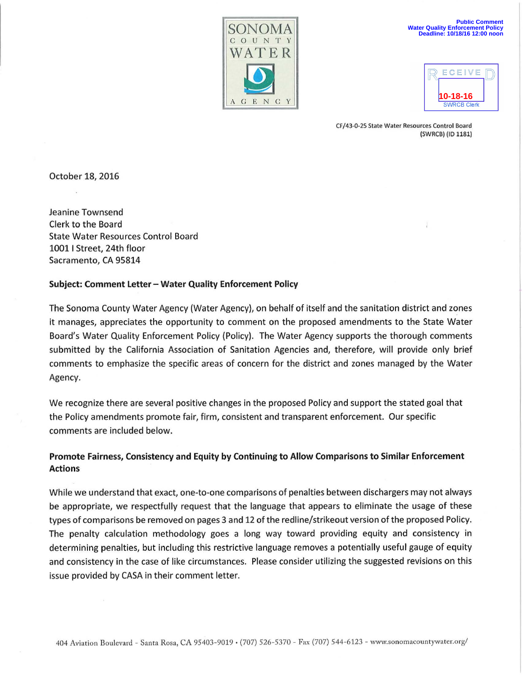

| CEI<br>F                            |  |
|-------------------------------------|--|
| $0 - 18 - 16$<br><b>SWRCB Clerk</b> |  |

CF/ 43-0-25 State Water Resources Control Board (SWRCB) (ID 1181)

October 18, 2016

Jeanine Townsend Clerk to the Board State Water Resources Control Board 10011 Street, 24th floor Sacramento, CA 95814

## Subject: Comment Letter - Water Quality Enforcement Policy

The Sonoma County Water Agency (Water Agency), on behalf of itself and the sanitation district and zones it manages, appreciates the opportunity to comment on the proposed amendments to the State Water Board's Water Quality Enforcement Policy (Policy). The Water Agency supports the thorough comments submitted by the California Association of Sanitation Agencies and, therefore, will provide only brief comments to emphasize the specific areas of concern for the district and zones managed by the Water Agency.

We recognize there are several positive changes in the proposed Policy and support the stated goal that the Policy amendments promote fair, firm, consistent and transparent enforcement. Our specific comments are included below.

# Promote Fairness, Consistency and Equity by Continuing to Allow Comparisons to Similar Enforcement Actions

While we understand that exact, one-to-one comparisons of penalties between dischargers may not always be appropriate, we respectfully request that the language that appears to eliminate the usage of these types of comparisons be removed on pages 3 and 12 of the redline/strikeout version of the proposed Policy. The penalty calculation methodology goes a long way toward providing equity and consistency in determining penalties, but including this restrictive language removes a potentially useful gauge of equity and consistency in the case of like circumstances. Please consider utilizing the suggested revisions on this issue provided by CASA in their comment letter.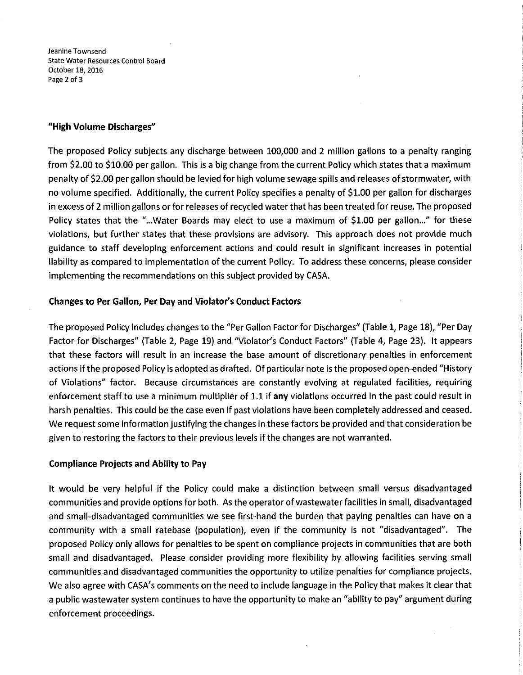**Jeanine Townsend State Water Resources Control Board**  October 18, 2016 Page 2 of 3

### **"High Volume Discharges"**

The proposed Policy subjects any discharge between 100,000 and 2 million gallons to a penalty ranging from \$2.00 to \$10.00 per gallon. This is a big change from the current Policy which states that a maximum penalty of \$2.00 per gallon should be levied for high volume sewage spills and releases of stormwater, with no volume specified. Additionally, the current Policy specifies a penalty of \$1.00 per gallon for discharges in excess of 2 million gallons or for releases of recycled water that has been treated for reuse. The proposed Policy states that the "... Water Boards may elect to use a maximum of \$1.00 per gallon..." for these violations, but further states that these provisions are advisory. This approach does not provide much guidance to staff developing enforcement actions and could result in significant increases in potential liability as compared to implementation of the current Policy. To address these concerns, please consider implementing the recommendations on this subject provided by CASA.

#### **Changes to Per Gallon, Per Day and Violator's Conduct Factors**

The proposed Policy includes changes to the "Per Gallon Factor for Discharges" (Table 1, Page 18), "Per Day Factor for Discharges" (Table 2, Page 19) and "Violator's Conduct Factors" (Table 4, Page 23). It appears that these factors will result in an increase the base amount of discretionary penalties in enforcement actions if the proposed Policy is adopted as drafted. Of particular note is the proposed open-ended "History of Violations" factor. Because circumstances are constantly evolving at regulated facilities, requiring enforcement staff to use a minimum multiplier of 1.1 if **any** violations occurred in the past could result in harsh penalties. This could be the case even if past violations have been completely addressed and ceased. We request some information justifying the changes in these factors be provided and that consideration be given to restoring the factors to their previous levels if the changes are not warranted.

#### **Compliance Projects and Ability to Pay**

It would be very helpful if the Policy could make a distinction between small versus disadvantaged communities and provide options for both. As the operator of wastewater facilities in small, disadvantaged and small-disadvantaged communities we see first-hand the burden that paying penalties can have on a community with a small ratebase (population), even if the community is not "disadvantaged". The proposed Policy only allows for penalties to be spent on compliance projects in communities that are both small and disadvantaged. Please consider providing more flexibility by allowing facilities serving small communities and disadvantaged communities the opportunity to utilize penalties for compliance projects. We also agree with CASA's comments on the need to include language in the Policy that makes it clear that a public wastewater system continues to have the opportunity to make an "ability to pay" argument during enforcement proceedings.